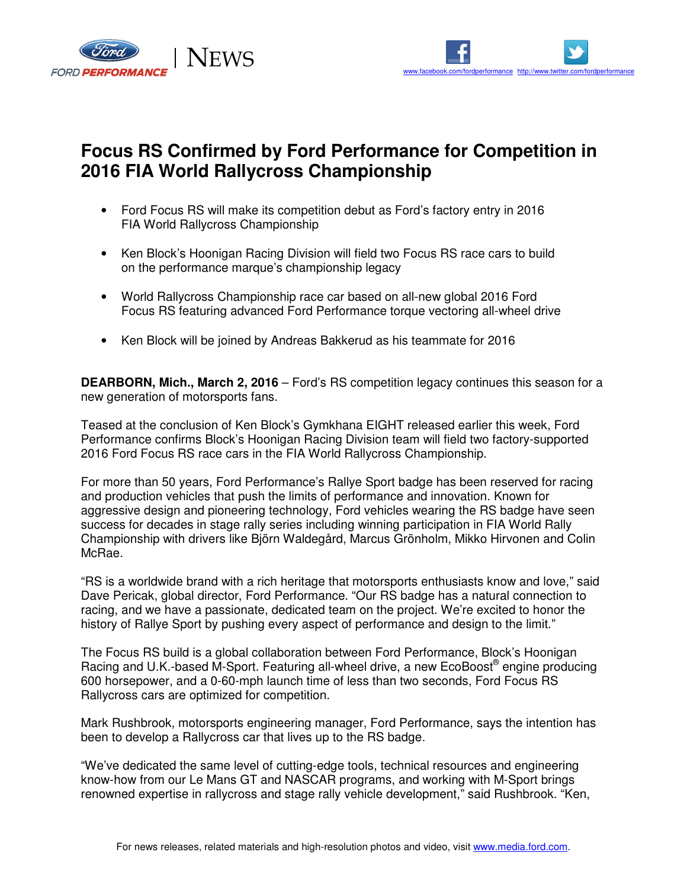



## **Focus RS Confirmed by Ford Performance for Competition in 2016 FIA World Rallycross Championship**

- Ford Focus RS will make its competition debut as Ford's factory entry in 2016 FIA World Rallycross Championship
- Ken Block's Hoonigan Racing Division will field two Focus RS race cars to build on the performance marque's championship legacy
- World Rallycross Championship race car based on all-new global 2016 Ford Focus RS featuring advanced Ford Performance torque vectoring all-wheel drive
- Ken Block will be joined by Andreas Bakkerud as his teammate for 2016

**DEARBORN, Mich., March 2, 2016** – Ford's RS competition legacy continues this season for a new generation of motorsports fans.

Teased at the conclusion of Ken Block's Gymkhana EIGHT released earlier this week, Ford Performance confirms Block's Hoonigan Racing Division team will field two factory-supported 2016 Ford Focus RS race cars in the FIA World Rallycross Championship.

For more than 50 years, Ford Performance's Rallye Sport badge has been reserved for racing and production vehicles that push the limits of performance and innovation. Known for aggressive design and pioneering technology, Ford vehicles wearing the RS badge have seen success for decades in stage rally series including winning participation in FIA World Rally Championship with drivers like Björn Waldegård, Marcus Grönholm, Mikko Hirvonen and Colin McRae.

"RS is a worldwide brand with a rich heritage that motorsports enthusiasts know and love," said Dave Pericak, global director, Ford Performance. "Our RS badge has a natural connection to racing, and we have a passionate, dedicated team on the project. We're excited to honor the history of Rallye Sport by pushing every aspect of performance and design to the limit."

The Focus RS build is a global collaboration between Ford Performance, Block's Hoonigan Racing and U.K.-based M-Sport. Featuring all-wheel drive, a new EcoBoost® engine producing 600 horsepower, and a 0-60-mph launch time of less than two seconds, Ford Focus RS Rallycross cars are optimized for competition.

Mark Rushbrook, motorsports engineering manager, Ford Performance, says the intention has been to develop a Rallycross car that lives up to the RS badge.

"We've dedicated the same level of cutting-edge tools, technical resources and engineering know-how from our Le Mans GT and NASCAR programs, and working with M-Sport brings renowned expertise in rallycross and stage rally vehicle development," said Rushbrook. "Ken,